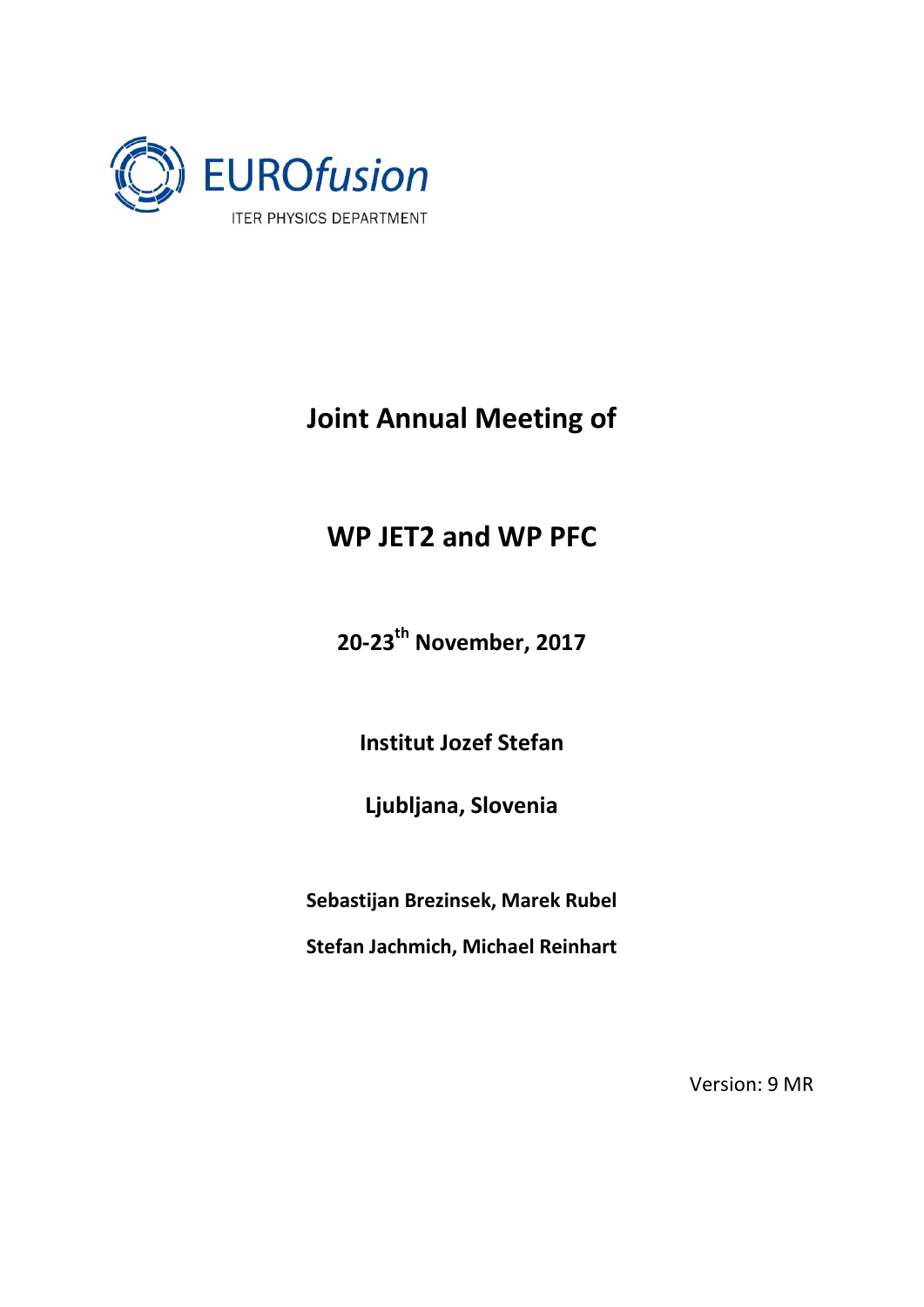

## **Joint Annual Meeting of**

## **WP JET2 and WP PFC**

**20-23th November, 2017**

**Institut Jozef Stefan**

**Ljubljana, Slovenia**

**Sebastijan Brezinsek, Marek Rubel**

**Stefan Jachmich, Michael Reinhart**

Version: 9 MR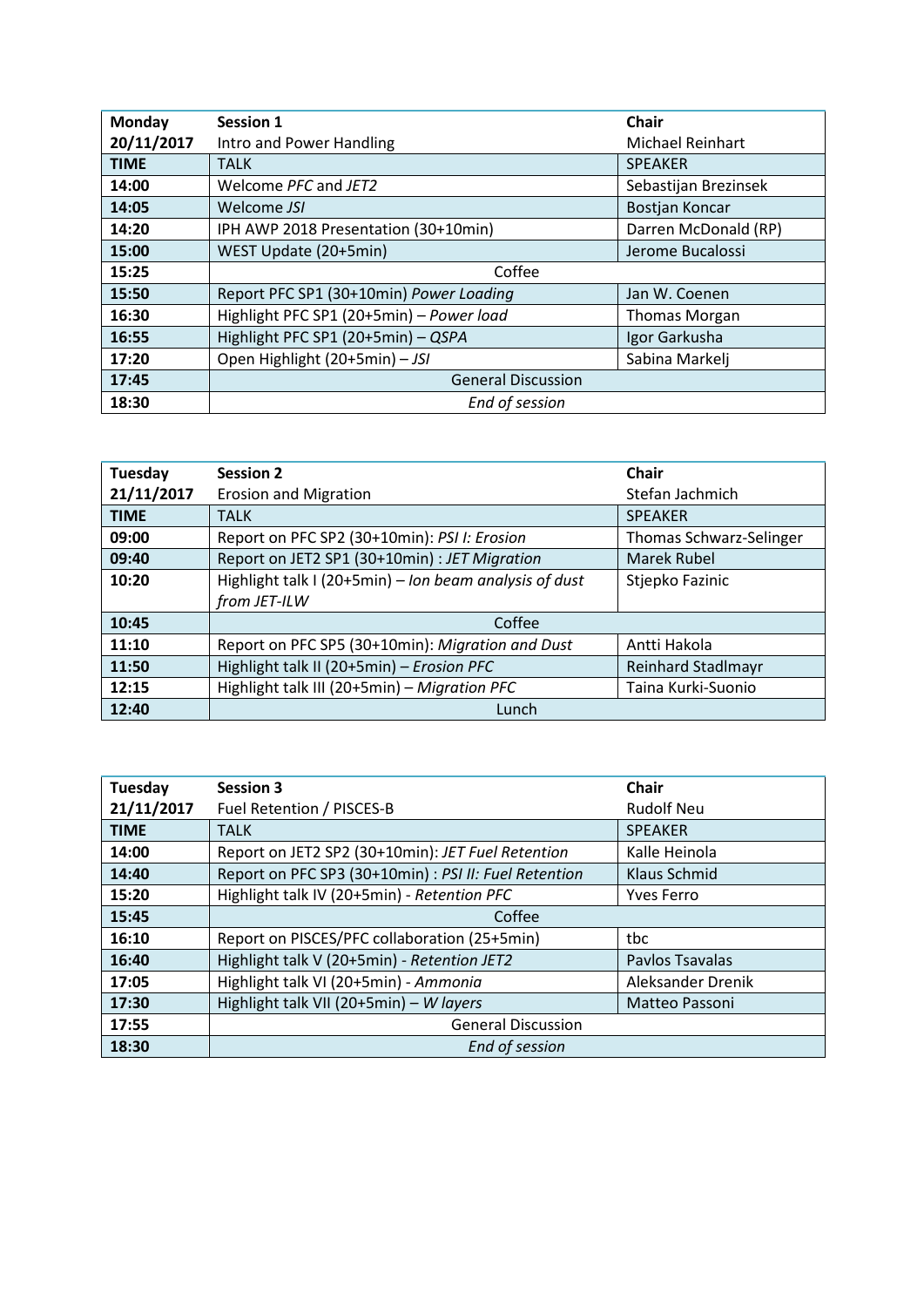| Monday      | <b>Session 1</b>                         | <b>Chair</b>            |
|-------------|------------------------------------------|-------------------------|
| 20/11/2017  | Intro and Power Handling                 | <b>Michael Reinhart</b> |
| <b>TIME</b> | <b>TALK</b>                              | <b>SPEAKER</b>          |
| 14:00       | Welcome PFC and JET2                     | Sebastijan Brezinsek    |
| 14:05       | Welcome JSI                              | Bostjan Koncar          |
| 14:20       | IPH AWP 2018 Presentation (30+10min)     | Darren McDonald (RP)    |
| 15:00       | WEST Update (20+5min)                    | Jerome Bucalossi        |
| 15:25       | Coffee                                   |                         |
| 15:50       | Report PFC SP1 (30+10min) Power Loading  | Jan W. Coenen           |
| 16:30       | Highlight PFC SP1 (20+5min) - Power load | <b>Thomas Morgan</b>    |
| 16:55       | Highlight PFC SP1 (20+5min) - QSPA       | Igor Garkusha           |
| 17:20       | Open Highlight (20+5min) - JSI           | Sabina Markelj          |
| 17:45       | <b>General Discussion</b>                |                         |
| 18:30       | End of session                           |                         |

| Tuesday     | <b>Session 2</b>                                       | <b>Chair</b>              |
|-------------|--------------------------------------------------------|---------------------------|
| 21/11/2017  | <b>Erosion and Migration</b>                           | Stefan Jachmich           |
| <b>TIME</b> | <b>TALK</b>                                            | <b>SPEAKER</b>            |
| 09:00       | Report on PFC SP2 (30+10min): PSI I: Erosion           | Thomas Schwarz-Selinger   |
| 09:40       | Report on JET2 SP1 (30+10min) : JET Migration          | Marek Rubel               |
| 10:20       | Highlight talk I (20+5min) - Ion beam analysis of dust | Stjepko Fazinic           |
|             | from JET-ILW                                           |                           |
| 10:45       | Coffee                                                 |                           |
| 11:10       | Report on PFC SP5 (30+10min): Migration and Dust       | Antti Hakola              |
| 11:50       | Highlight talk II (20+5min) - Erosion PFC              | <b>Reinhard Stadlmayr</b> |
| 12:15       | Highlight talk III (20+5min) - Migration PFC           | Taina Kurki-Suonio        |
| 12:40       | Lunch                                                  |                           |

| Tuesday     | <b>Session 3</b>                                      | <b>Chair</b>      |
|-------------|-------------------------------------------------------|-------------------|
| 21/11/2017  | Fuel Retention / PISCES-B                             | <b>Rudolf Neu</b> |
| <b>TIME</b> | <b>TALK</b>                                           | <b>SPEAKER</b>    |
| 14:00       | Report on JET2 SP2 (30+10min): JET Fuel Retention     | Kalle Heinola     |
| 14:40       | Report on PFC SP3 (30+10min) : PSI II: Fuel Retention | Klaus Schmid      |
| 15:20       | Highlight talk IV (20+5min) - Retention PFC           | <b>Yves Ferro</b> |
| 15:45       | Coffee                                                |                   |
| 16:10       | Report on PISCES/PFC collaboration (25+5min)          | tbc               |
| 16:40       | Highlight talk V (20+5min) - Retention JET2           | Pavlos Tsavalas   |
| 17:05       | Highlight talk VI (20+5min) - Ammonia                 | Aleksander Drenik |
| 17:30       | Highlight talk VII (20+5min) - W layers               | Matteo Passoni    |
| 17:55       | <b>General Discussion</b>                             |                   |
| 18:30       | End of session                                        |                   |